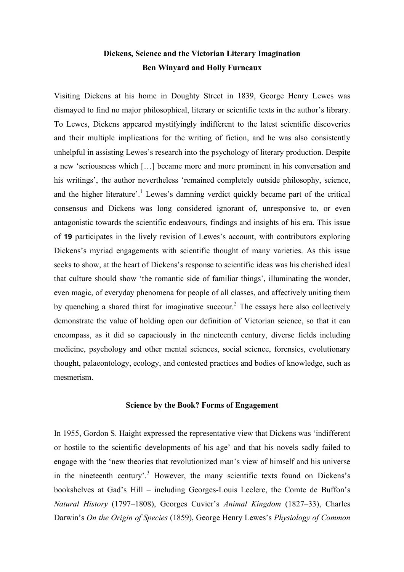# **Dickens, Science and the Victorian Literary Imagination Ben Winyard and Holly Furneaux**

Visiting Dickens at his home in Doughty Street in 1839, George Henry Lewes was dismayed to find no major philosophical, literary or scientific texts in the author's library. To Lewes, Dickens appeared mystifyingly indifferent to the latest scientific discoveries and their multiple implications for the writing of fiction, and he was also consistently unhelpful in assisting Lewes's research into the psychology of literary production. Despite a new 'seriousness which […] became more and more prominent in his conversation and his writings', the author nevertheless 'remained completely outside philosophy, science, and the higher literature'.<sup>1</sup> Lewes's damning verdict quickly became part of the critical consensus and Dickens was long considered ignorant of, unresponsive to, or even antagonistic towards the scientific endeavours, findings and insights of his era. This issue of **19** participates in the lively revision of Lewes's account, with contributors exploring Dickens's myriad engagements with scientific thought of many varieties. As this issue seeks to show, at the heart of Dickens's response to scientific ideas was his cherished ideal that culture should show 'the romantic side of familiar things', illuminating the wonder, even magic, of everyday phenomena for people of all classes, and affectively uniting them by quenching a shared thirst for imaginative succour. <sup>2</sup> The essays here also collectively demonstrate the value of holding open our definition of Victorian science, so that it can encompass, as it did so capaciously in the nineteenth century, diverse fields including medicine, psychology and other mental sciences, social science, forensics, evolutionary thought, palaeontology, ecology, and contested practices and bodies of knowledge, such as mesmerism.

# **Science by the Book? Forms of Engagement**

In 1955, Gordon S. Haight expressed the representative view that Dickens was 'indifferent or hostile to the scientific developments of his age' and that his novels sadly failed to engage with the 'new theories that revolutionized man's view of himself and his universe in the nineteenth century'. <sup>3</sup> However, the many scientific texts found on Dickens's bookshelves at Gad's Hill – including Georges-Louis Leclerc, the Comte de Buffon's *Natural History* (1797–1808), Georges Cuvier's *Animal Kingdom* (1827–33), Charles Darwin's *On the Origin of Species* (1859), George Henry Lewes's *Physiology of Common*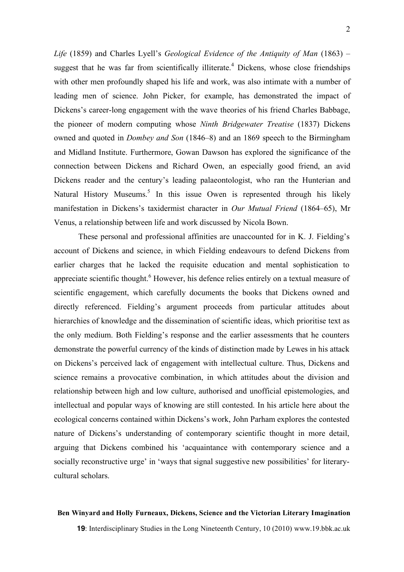*Life* (1859) and Charles Lyell's *Geological Evidence of the Antiquity of Man* (1863) – suggest that he was far from scientifically illiterate.<sup>4</sup> Dickens, whose close friendships with other men profoundly shaped his life and work, was also intimate with a number of leading men of science. John Picker, for example, has demonstrated the impact of Dickens's career-long engagement with the wave theories of his friend Charles Babbage, the pioneer of modern computing whose *Ninth Bridgewater Treatise* (1837) Dickens owned and quoted in *Dombey and Son* (1846–8) and an 1869 speech to the Birmingham and Midland Institute. Furthermore, Gowan Dawson has explored the significance of the connection between Dickens and Richard Owen, an especially good friend, an avid Dickens reader and the century's leading palaeontologist, who ran the Hunterian and Natural History Museums.<sup>5</sup> In this issue Owen is represented through his likely manifestation in Dickens's taxidermist character in *Our Mutual Friend* (1864–65), Mr Venus, a relationship between life and work discussed by Nicola Bown.

These personal and professional affinities are unaccounted for in K. J. Fielding's account of Dickens and science, in which Fielding endeavours to defend Dickens from earlier charges that he lacked the requisite education and mental sophistication to appreciate scientific thought.<sup>6</sup> However, his defence relies entirely on a textual measure of scientific engagement, which carefully documents the books that Dickens owned and directly referenced. Fielding's argument proceeds from particular attitudes about hierarchies of knowledge and the dissemination of scientific ideas, which prioritise text as the only medium. Both Fielding's response and the earlier assessments that he counters demonstrate the powerful currency of the kinds of distinction made by Lewes in his attack on Dickens's perceived lack of engagement with intellectual culture. Thus, Dickens and science remains a provocative combination, in which attitudes about the division and relationship between high and low culture, authorised and unofficial epistemologies, and intellectual and popular ways of knowing are still contested. In his article here about the ecological concerns contained within Dickens's work, John Parham explores the contested nature of Dickens's understanding of contemporary scientific thought in more detail, arguing that Dickens combined his 'acquaintance with contemporary science and a socially reconstructive urge' in 'ways that signal suggestive new possibilities' for literarycultural scholars.

### **Ben Winyard and Holly Furneaux, Dickens, Science and the Victorian Literary Imagination**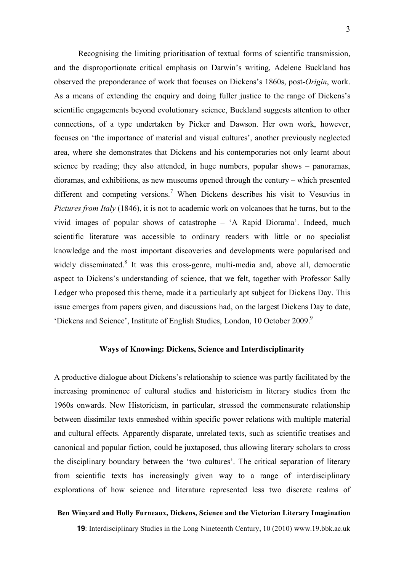Recognising the limiting prioritisation of textual forms of scientific transmission, and the disproportionate critical emphasis on Darwin's writing, Adelene Buckland has observed the preponderance of work that focuses on Dickens's 1860s, post-*Origin*, work. As a means of extending the enquiry and doing fuller justice to the range of Dickens's scientific engagements beyond evolutionary science, Buckland suggests attention to other connections, of a type undertaken by Picker and Dawson. Her own work, however, focuses on 'the importance of material and visual cultures', another previously neglected area, where she demonstrates that Dickens and his contemporaries not only learnt about science by reading; they also attended, in huge numbers, popular shows – panoramas, dioramas, and exhibitions, as new museums opened through the century – which presented different and competing versions. <sup>7</sup> When Dickens describes his visit to Vesuvius in *Pictures from Italy* (1846), it is not to academic work on volcanoes that he turns, but to the vivid images of popular shows of catastrophe – 'A Rapid Diorama'. Indeed, much scientific literature was accessible to ordinary readers with little or no specialist knowledge and the most important discoveries and developments were popularised and widely disseminated.<sup>8</sup> It was this cross-genre, multi-media and, above all, democratic aspect to Dickens's understanding of science, that we felt, together with Professor Sally Ledger who proposed this theme, made it a particularly apt subject for Dickens Day. This issue emerges from papers given, and discussions had, on the largest Dickens Day to date, 'Dickens and Science', Institute of English Studies, London, 10 October 2009. 9

# **Ways of Knowing: Dickens, Science and Interdisciplinarity**

A productive dialogue about Dickens's relationship to science was partly facilitated by the increasing prominence of cultural studies and historicism in literary studies from the 1960s onwards. New Historicism, in particular, stressed the commensurate relationship between dissimilar texts enmeshed within specific power relations with multiple material and cultural effects. Apparently disparate, unrelated texts, such as scientific treatises and canonical and popular fiction, could be juxtaposed, thus allowing literary scholars to cross the disciplinary boundary between the 'two cultures'. The critical separation of literary from scientific texts has increasingly given way to a range of interdisciplinary explorations of how science and literature represented less two discrete realms of

#### **Ben Winyard and Holly Furneaux, Dickens, Science and the Victorian Literary Imagination**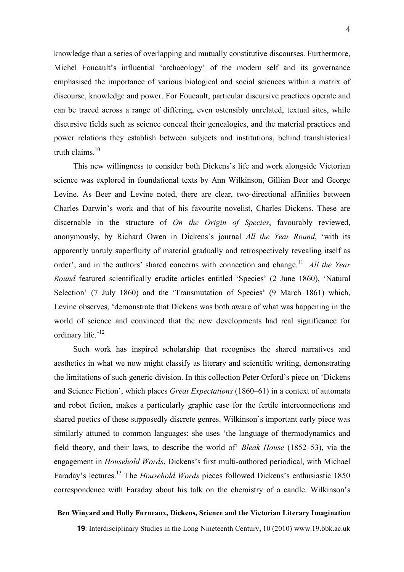knowledge than a series of overlapping and mutually constitutive discourses. Furthermore, Michel Foucault's influential 'archaeology' of the modern self and its governance emphasised the importance of various biological and social sciences within a matrix of discourse, knowledge and power. For Foucault, particular discursive practices operate and can be traced across a range of differing, even ostensibly unrelated, textual sites, while discursive fields such as science conceal their genealogies, and the material practices and power relations they establish between subjects and institutions, behind transhistorical truth claims.<sup>10</sup>

This new willingness to consider both Dickens's life and work alongside Victorian science was explored in foundational texts by Ann Wilkinson, Gillian Beer and George Levine. As Beer and Levine noted, there are clear, two-directional affinities between Charles Darwin's work and that of his favourite novelist, Charles Dickens. These are discernable in the structure of *On the Origin of Species*, favourably reviewed, anonymously, by Richard Owen in Dickens's journal *All the Year Round*, 'with its apparently unruly superfluity of material gradually and retrospectively revealing itself as order', and in the authors' shared concerns with connection and change.<sup>11</sup> *All the Year Round* featured scientifically erudite articles entitled 'Species' (2 June 1860), 'Natural Selection' (7 July 1860) and the 'Transmutation of Species' (9 March 1861) which, Levine observes, 'demonstrate that Dickens was both aware of what was happening in the world of science and convinced that the new developments had real significance for ordinary life.'<sup>12</sup>

Such work has inspired scholarship that recognises the shared narratives and aesthetics in what we now might classify as literary and scientific writing, demonstrating the limitations of such generic division. In this collection Peter Orford's piece on 'Dickens and Science Fiction', which places *Great Expectations* (1860–61) in a context of automata and robot fiction, makes a particularly graphic case for the fertile interconnections and shared poetics of these supposedly discrete genres. Wilkinson's important early piece was similarly attuned to common languages; she uses 'the language of thermodynamics and field theory, and their laws, to describe the world of' *Bleak House* (1852–53), via the engagement in *Household Words*, Dickens's first multi-authored periodical, with Michael Faraday's lectures. <sup>13</sup> The *Household Words* pieces followed Dickens's enthusiastic 1850 correspondence with Faraday about his talk on the chemistry of a candle. Wilkinson's

#### **Ben Winyard and Holly Furneaux, Dickens, Science and the Victorian Literary Imagination**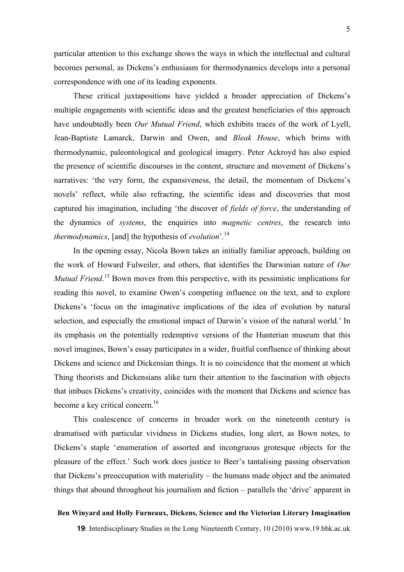particular attention to this exchange shows the ways in which the intellectual and cultural becomes personal, as Dickens's enthusiasm for thermodynamics develops into a personal correspondence with one of its leading exponents.

These critical juxtapositions have yielded a broader appreciation of Dickens's multiple engagements with scientific ideas and the greatest beneficiaries of this approach have undoubtedly been *Our Mutual Friend*, which exhibits traces of the work of Lyell, Jean-Baptiste Lamarck, Darwin and Owen, and *Bleak House*, which brims with thermodynamic, paleontological and geological imagery. Peter Ackroyd has also espied the presence of scientific discourses in the content, structure and movement of Dickens's narratives: 'the very form, the expansiveness, the detail, the momentum of Dickens's novels' reflect, while also refracting, the scientific ideas and discoveries that most captured his imagination, including 'the discover of *fields of force*, the understanding of the dynamics of *systems*, the enquiries into *magnetic centres*, the research into *thermodynamics*, [and] the hypothesis of *evolution*'. 14

In the opening essay, Nicola Bown takes an initially familiar approach, building on the work of Howard Fulweiler, and others, that identifies the Darwinian nature of *Our Mutual Friend.*<sup>15</sup> Bown moves from this perspective, with its pessimistic implications for reading this novel, to examine Owen's competing influence on the text, and to explore Dickens's 'focus on the imaginative implications of the idea of evolution by natural selection, and especially the emotional impact of Darwin's vision of the natural world.' In its emphasis on the potentially redemptive versions of the Hunterian museum that this novel imagines, Bown's essay participates in a wider, fruitful confluence of thinking about Dickens and science and Dickensian things. It is no coincidence that the moment at which Thing theorists and Dickensians alike turn their attention to the fascination with objects that imbues Dickens's creativity, coincides with the moment that Dickens and science has become a key critical concern.<sup>16</sup>

This coalescence of concerns in broader work on the nineteenth century is dramatised with particular vividness in Dickens studies, long alert, as Bown notes, to Dickens's staple 'enumeration of assorted and incongruous grotesque objects for the pleasure of the effect.' Such work does justice to Beer's tantalising passing observation that Dickens's preoccupation with materiality – the humans made object and the animated things that abound throughout his journalism and fiction – parallels the 'drive' apparent in

#### **Ben Winyard and Holly Furneaux, Dickens, Science and the Victorian Literary Imagination**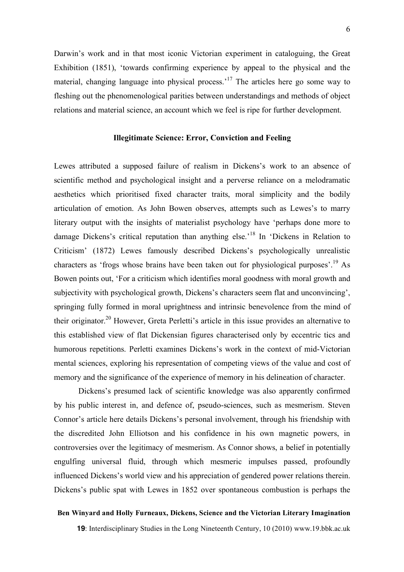Darwin's work and in that most iconic Victorian experiment in cataloguing, the Great Exhibition (1851), 'towards confirming experience by appeal to the physical and the material, changing language into physical process.<sup>17</sup> The articles here go some way to fleshing out the phenomenological parities between understandings and methods of object relations and material science, an account which we feel is ripe for further development.

# **Illegitimate Science: Error, Conviction and Feeling**

Lewes attributed a supposed failure of realism in Dickens's work to an absence of scientific method and psychological insight and a perverse reliance on a melodramatic aesthetics which prioritised fixed character traits, moral simplicity and the bodily articulation of emotion. As John Bowen observes, attempts such as Lewes's to marry literary output with the insights of materialist psychology have 'perhaps done more to damage Dickens's critical reputation than anything else.<sup>18</sup> In 'Dickens in Relation to Criticism' (1872) Lewes famously described Dickens's psychologically unrealistic characters as 'frogs whose brains have been taken out for physiological purposes'. <sup>19</sup> As Bowen points out, 'For a criticism which identifies moral goodness with moral growth and subjectivity with psychological growth, Dickens's characters seem flat and unconvincing', springing fully formed in moral uprightness and intrinsic benevolence from the mind of their originator.<sup>20</sup> However, Greta Perletti's article in this issue provides an alternative to this established view of flat Dickensian figures characterised only by eccentric tics and humorous repetitions. Perletti examines Dickens's work in the context of mid-Victorian mental sciences, exploring his representation of competing views of the value and cost of memory and the significance of the experience of memory in his delineation of character.

Dickens's presumed lack of scientific knowledge was also apparently confirmed by his public interest in, and defence of, pseudo-sciences, such as mesmerism. Steven Connor's article here details Dickens's personal involvement, through his friendship with the discredited John Elliotson and his confidence in his own magnetic powers, in controversies over the legitimacy of mesmerism. As Connor shows, a belief in potentially engulfing universal fluid, through which mesmeric impulses passed, profoundly influenced Dickens's world view and his appreciation of gendered power relations therein. Dickens's public spat with Lewes in 1852 over spontaneous combustion is perhaps the

#### **Ben Winyard and Holly Furneaux, Dickens, Science and the Victorian Literary Imagination**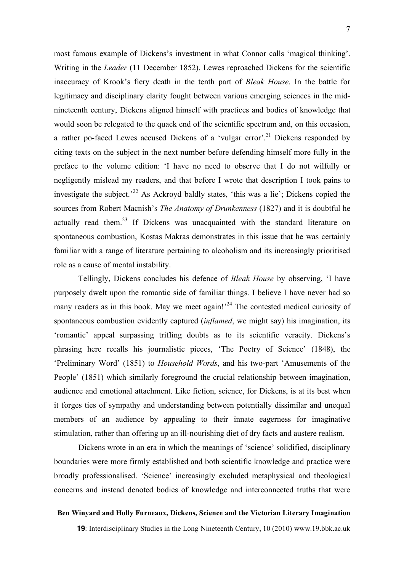7

most famous example of Dickens's investment in what Connor calls 'magical thinking'. Writing in the *Leader* (11 December 1852), Lewes reproached Dickens for the scientific inaccuracy of Krook's fiery death in the tenth part of *Bleak House*. In the battle for legitimacy and disciplinary clarity fought between various emerging sciences in the midnineteenth century, Dickens aligned himself with practices and bodies of knowledge that would soon be relegated to the quack end of the scientific spectrum and, on this occasion, a rather po-faced Lewes accused Dickens of a 'vulgar error'.<sup>21</sup> Dickens responded by citing texts on the subject in the next number before defending himself more fully in the preface to the volume edition: 'I have no need to observe that I do not wilfully or negligently mislead my readers, and that before I wrote that description I took pains to investigate the subject.<sup>22</sup> As Ackroyd baldly states, 'this was a lie'; Dickens copied the sources from Robert Macnish's *The Anatomy of Drunkenness* (1827) and it is doubtful he actually read them.<sup>23</sup> If Dickens was unacquainted with the standard literature on spontaneous combustion, Kostas Makras demonstrates in this issue that he was certainly familiar with a range of literature pertaining to alcoholism and its increasingly prioritised role as a cause of mental instability.

Tellingly, Dickens concludes his defence of *Bleak House* by observing, 'I have purposely dwelt upon the romantic side of familiar things. I believe I have never had so many readers as in this book. May we meet again!<sup>24</sup> The contested medical curiosity of spontaneous combustion evidently captured (*inflamed*, we might say) his imagination, its 'romantic' appeal surpassing trifling doubts as to its scientific veracity. Dickens's phrasing here recalls his journalistic pieces, 'The Poetry of Science' (1848), the 'Preliminary Word' (1851) to *Household Words*, and his two-part 'Amusements of the People' (1851) which similarly foreground the crucial relationship between imagination, audience and emotional attachment. Like fiction, science, for Dickens, is at its best when it forges ties of sympathy and understanding between potentially dissimilar and unequal members of an audience by appealing to their innate eagerness for imaginative stimulation, rather than offering up an ill-nourishing diet of dry facts and austere realism.

Dickens wrote in an era in which the meanings of 'science' solidified, disciplinary boundaries were more firmly established and both scientific knowledge and practice were broadly professionalised. 'Science' increasingly excluded metaphysical and theological concerns and instead denoted bodies of knowledge and interconnected truths that were

#### **Ben Winyard and Holly Furneaux, Dickens, Science and the Victorian Literary Imagination**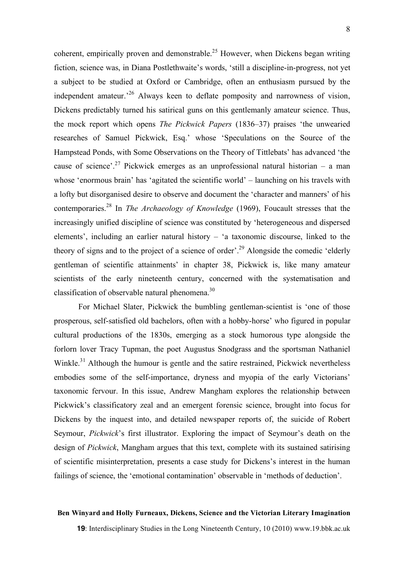coherent, empirically proven and demonstrable.<sup>25</sup> However, when Dickens began writing fiction, science was, in Diana Postlethwaite's words, 'still a discipline-in-progress, not yet a subject to be studied at Oxford or Cambridge, often an enthusiasm pursued by the independent amateur.<sup>26</sup> Always keen to deflate pomposity and narrowness of vision, Dickens predictably turned his satirical guns on this gentlemanly amateur science. Thus, the mock report which opens *The Pickwick Papers* (1836–37) praises 'the unwearied researches of Samuel Pickwick, Esq.' whose 'Speculations on the Source of the Hampstead Ponds, with Some Observations on the Theory of Tittlebats' has advanced 'the cause of science'.<sup>27</sup> Pickwick emerges as an unprofessional natural historian – a man whose 'enormous brain' has 'agitated the scientific world' – launching on his travels with a lofty but disorganised desire to observe and document the 'character and manners' of his contemporaries. <sup>28</sup> In *The Archaeology of Knowledge* (1969), Foucault stresses that the increasingly unified discipline of science was constituted by 'heterogeneous and dispersed elements', including an earlier natural history – 'a taxonomic discourse, linked to the theory of signs and to the project of a science of order'. <sup>29</sup> Alongside the comedic 'elderly gentleman of scientific attainments' in chapter 38, Pickwick is, like many amateur scientists of the early nineteenth century, concerned with the systematisation and classification of observable natural phenomena.<sup>30</sup>

For Michael Slater, Pickwick the bumbling gentleman-scientist is 'one of those prosperous, self-satisfied old bachelors, often with a hobby-horse' who figured in popular cultural productions of the 1830s, emerging as a stock humorous type alongside the forlorn lover Tracy Tupman, the poet Augustus Snodgrass and the sportsman Nathaniel Winkle.<sup>31</sup> Although the humour is gentle and the satire restrained, Pickwick nevertheless embodies some of the self-importance, dryness and myopia of the early Victorians' taxonomic fervour. In this issue, Andrew Mangham explores the relationship between Pickwick's classificatory zeal and an emergent forensic science, brought into focus for Dickens by the inquest into, and detailed newspaper reports of, the suicide of Robert Seymour, *Pickwick*'s first illustrator. Exploring the impact of Seymour's death on the design of *Pickwick*, Mangham argues that this text, complete with its sustained satirising of scientific misinterpretation, presents a case study for Dickens's interest in the human failings of science, the 'emotional contamination' observable in 'methods of deduction'.

#### **Ben Winyard and Holly Furneaux, Dickens, Science and the Victorian Literary Imagination**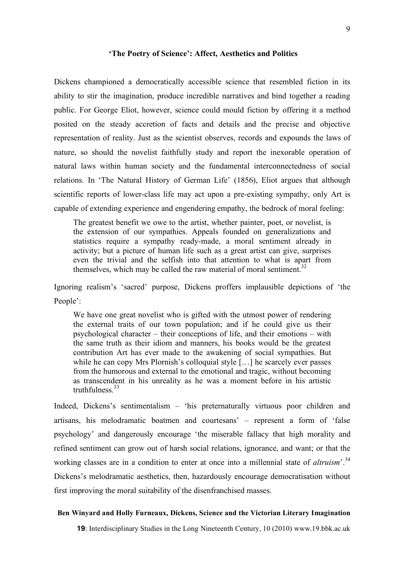#### **'The Poetry of Science': Affect, Aesthetics and Politics**

Dickens championed a democratically accessible science that resembled fiction in its ability to stir the imagination, produce incredible narratives and bind together a reading public. For George Eliot, however, science could mould fiction by offering it a method posited on the steady accretion of facts and details and the precise and objective representation of reality. Just as the scientist observes, records and expounds the laws of nature, so should the novelist faithfully study and report the inexorable operation of natural laws within human society and the fundamental interconnectedness of social relations. In 'The Natural History of German Life' (1856), Eliot argues that although scientific reports of lower-class life may act upon a pre-existing sympathy, only Art is capable of extending experience and engendering empathy, the bedrock of moral feeling:

The greatest benefit we owe to the artist, whether painter, poet, or novelist, is the extension of our sympathies. Appeals founded on generalizations and statistics require a sympathy ready-made, a moral sentiment already in activity; but a picture of human life such as a great artist can give, surprises even the trivial and the selfish into that attention to what is apart from themselves, which may be called the raw material of moral sentiment.<sup>32</sup>

Ignoring realism's 'sacred' purpose, Dickens proffers implausible depictions of 'the People':

We have one great novelist who is gifted with the utmost power of rendering the external traits of our town population; and if he could give us their psychological character – their conceptions of life, and their emotions – with the same truth as their idiom and manners, his books would be the greatest contribution Art has ever made to the awakening of social sympathies. But while he can copy Mrs Plornish's colloquial style […] he scarcely ever passes from the humorous and external to the emotional and tragic, without becoming as transcendent in his unreality as he was a moment before in his artistic truthfulness. 33

Indeed, Dickens's sentimentalism – 'his preternaturally virtuous poor children and artisans, his melodramatic boatmen and courtesans' – represent a form of 'false psychology' and dangerously encourage 'the miserable fallacy that high morality and refined sentiment can grow out of harsh social relations, ignorance, and want; or that the working classes are in a condition to enter at once into a millennial state of *altruism*'. 34 Dickens's melodramatic aesthetics, then, hazardously encourage democratisation without first improving the moral suitability of the disenfranchised masses.

#### **Ben Winyard and Holly Furneaux, Dickens, Science and the Victorian Literary Imagination**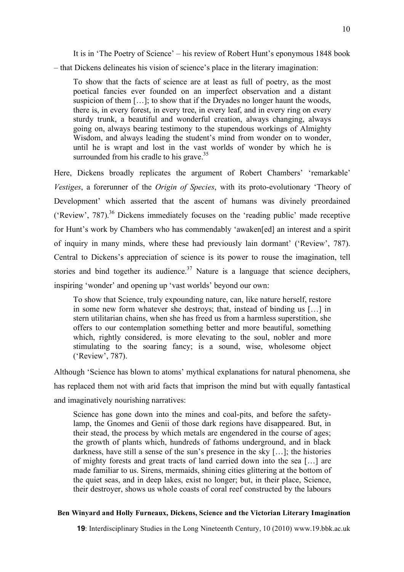It is in 'The Poetry of Science' – his review of Robert Hunt's eponymous 1848 book – that Dickens delineates his vision of science's place in the literary imagination:

To show that the facts of science are at least as full of poetry, as the most poetical fancies ever founded on an imperfect observation and a distant suspicion of them [...]; to show that if the Dryades no longer haunt the woods, there is, in every forest, in every tree, in every leaf, and in every ring on every sturdy trunk, a beautiful and wonderful creation, always changing, always going on, always bearing testimony to the stupendous workings of Almighty Wisdom, and always leading the student's mind from wonder on to wonder, until he is wrapt and lost in the vast worlds of wonder by which he is surrounded from his cradle to his grave.<sup>35</sup>

Here, Dickens broadly replicates the argument of Robert Chambers' 'remarkable' *Vestiges*, a forerunner of the *Origin of Species*, with its proto-evolutionary 'Theory of Development' which asserted that the ascent of humans was divinely preordained ('Review', 787). <sup>36</sup> Dickens immediately focuses on the 'reading public' made receptive for Hunt's work by Chambers who has commendably 'awaken[ed] an interest and a spirit of inquiry in many minds, where these had previously lain dormant' ('Review', 787). Central to Dickens's appreciation of science is its power to rouse the imagination, tell stories and bind together its audience.<sup>37</sup> Nature is a language that science deciphers, inspiring 'wonder' and opening up 'vast worlds' beyond our own:

To show that Science, truly expounding nature, can, like nature herself, restore in some new form whatever she destroys; that, instead of binding us […] in stern utilitarian chains, when she has freed us from a harmless superstition, she offers to our contemplation something better and more beautiful, something which, rightly considered, is more elevating to the soul, nobler and more stimulating to the soaring fancy; is a sound, wise, wholesome object ('Review', 787).

Although 'Science has blown to atoms' mythical explanations for natural phenomena, she has replaced them not with arid facts that imprison the mind but with equally fantastical and imaginatively nourishing narratives:

Science has gone down into the mines and coal-pits, and before the safetylamp, the Gnomes and Genii of those dark regions have disappeared. But, in their stead, the process by which metals are engendered in the course of ages; the growth of plants which, hundreds of fathoms underground, and in black darkness, have still a sense of the sun's presence in the sky […]; the histories of mighty forests and great tracts of land carried down into the sea […] are made familiar to us. Sirens, mermaids, shining cities glittering at the bottom of the quiet seas, and in deep lakes, exist no longer; but, in their place, Science, their destroyer, shows us whole coasts of coral reef constructed by the labours

### **Ben Winyard and Holly Furneaux, Dickens, Science and the Victorian Literary Imagination**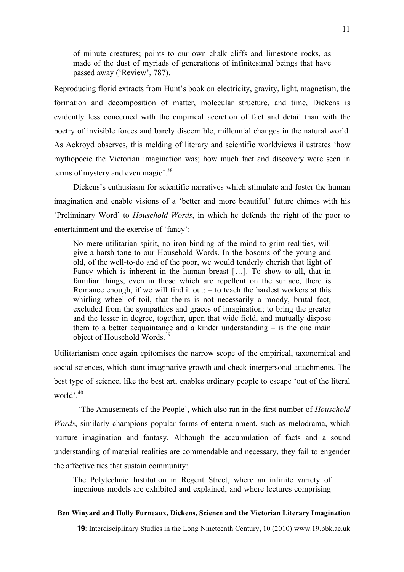of minute creatures; points to our own chalk cliffs and limestone rocks, as made of the dust of myriads of generations of infinitesimal beings that have passed away ('Review', 787).

Reproducing florid extracts from Hunt's book on electricity, gravity, light, magnetism, the formation and decomposition of matter, molecular structure, and time, Dickens is evidently less concerned with the empirical accretion of fact and detail than with the poetry of invisible forces and barely discernible, millennial changes in the natural world. As Ackroyd observes, this melding of literary and scientific worldviews illustrates 'how mythopoeic the Victorian imagination was; how much fact and discovery were seen in terms of mystery and even magic<sup>'.38</sup>

Dickens's enthusiasm for scientific narratives which stimulate and foster the human imagination and enable visions of a 'better and more beautiful' future chimes with his 'Preliminary Word' to *Household Words*, in which he defends the right of the poor to entertainment and the exercise of 'fancy':

No mere utilitarian spirit, no iron binding of the mind to grim realities, will give a harsh tone to our Household Words. In the bosoms of the young and old, of the well-to-do and of the poor, we would tenderly cherish that light of Fancy which is inherent in the human breast […]. To show to all, that in familiar things, even in those which are repellent on the surface, there is Romance enough, if we will find it out:  $-$  to teach the hardest workers at this whirling wheel of toil, that theirs is not necessarily a moody, brutal fact, excluded from the sympathies and graces of imagination; to bring the greater and the lesser in degree, together, upon that wide field, and mutually dispose them to a better acquaintance and a kinder understanding – is the one main object of Household Words.<sup>39</sup>

Utilitarianism once again epitomises the narrow scope of the empirical, taxonomical and social sciences, which stunt imaginative growth and check interpersonal attachments. The best type of science, like the best art, enables ordinary people to escape 'out of the literal world'. 40

'The Amusements of the People', which also ran in the first number of *Household Words*, similarly champions popular forms of entertainment, such as melodrama, which nurture imagination and fantasy. Although the accumulation of facts and a sound understanding of material realities are commendable and necessary, they fail to engender the affective ties that sustain community:

The Polytechnic Institution in Regent Street, where an infinite variety of ingenious models are exhibited and explained, and where lectures comprising

#### **Ben Winyard and Holly Furneaux, Dickens, Science and the Victorian Literary Imagination**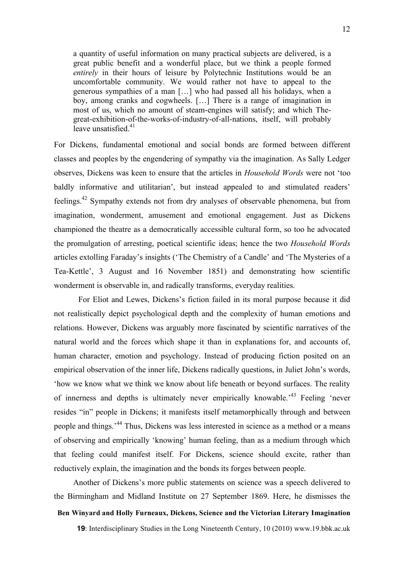a quantity of useful information on many practical subjects are delivered, is a great public benefit and a wonderful place, but we think a people formed *entirely* in their hours of leisure by Polytechnic Institutions would be an uncomfortable community. We would rather not have to appeal to the generous sympathies of a man […] who had passed all his holidays, when a boy, among cranks and cogwheels. […] There is a range of imagination in most of us, which no amount of steam-engines will satisfy; and which Thegreat-exhibition-of-the-works-of-industry-of-all-nations, itself, will probably leave unsatisfied. $41$ 

For Dickens, fundamental emotional and social bonds are formed between different classes and peoples by the engendering of sympathy via the imagination. As Sally Ledger observes, Dickens was keen to ensure that the articles in *Household Words* were not 'too baldly informative and utilitarian', but instead appealed to and stimulated readers' feelings.<sup>42</sup> Sympathy extends not from dry analyses of observable phenomena, but from imagination, wonderment, amusement and emotional engagement. Just as Dickens championed the theatre as a democratically accessible cultural form, so too he advocated the promulgation of arresting, poetical scientific ideas; hence the two *Household Words* articles extolling Faraday's insights ('The Chemistry of a Candle' and 'The Mysteries of a Tea-Kettle', 3 August and 16 November 1851) and demonstrating how scientific wonderment is observable in, and radically transforms, everyday realities.

For Eliot and Lewes, Dickens's fiction failed in its moral purpose because it did not realistically depict psychological depth and the complexity of human emotions and relations. However, Dickens was arguably more fascinated by scientific narratives of the natural world and the forces which shape it than in explanations for, and accounts of, human character, emotion and psychology. Instead of producing fiction posited on an empirical observation of the inner life, Dickens radically questions, in Juliet John's words, 'how we know what we think we know about life beneath or beyond surfaces. The reality of innerness and depths is ultimately never empirically knowable.<sup>43</sup> Feeling 'never resides "in" people in Dickens; it manifests itself metamorphically through and between people and things.<sup>44</sup> Thus, Dickens was less interested in science as a method or a means of observing and empirically 'knowing' human feeling, than as a medium through which that feeling could manifest itself. For Dickens, science should excite, rather than reductively explain, the imagination and the bonds its forges between people.

Another of Dickens's more public statements on science was a speech delivered to the Birmingham and Midland Institute on 27 September 1869. Here, he dismisses the

# **Ben Winyard and Holly Furneaux, Dickens, Science and the Victorian Literary Imagination**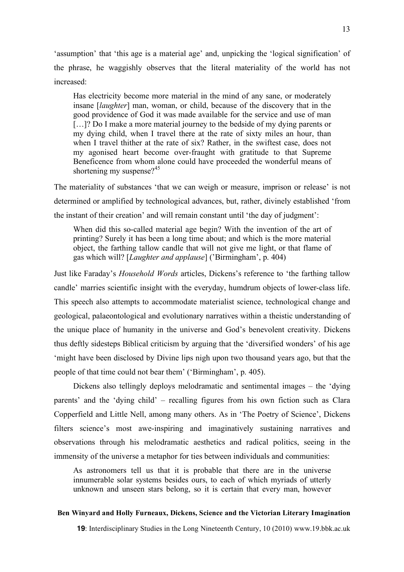'assumption' that 'this age is a material age' and, unpicking the 'logical signification' of the phrase, he waggishly observes that the literal materiality of the world has not increased:

Has electricity become more material in the mind of any sane, or moderately insane [*laughter*] man, woman, or child, because of the discovery that in the good providence of God it was made available for the service and use of man [...]? Do I make a more material journey to the bedside of my dying parents or my dying child, when I travel there at the rate of sixty miles an hour, than when I travel thither at the rate of six? Rather, in the swiftest case, does not my agonised heart become over-fraught with gratitude to that Supreme Beneficence from whom alone could have proceeded the wonderful means of shortening my suspense? $45$ 

The materiality of substances 'that we can weigh or measure, imprison or release' is not determined or amplified by technological advances, but, rather, divinely established 'from the instant of their creation' and will remain constant until 'the day of judgment':

When did this so-called material age begin? With the invention of the art of printing? Surely it has been a long time about; and which is the more material object, the farthing tallow candle that will not give me light, or that flame of gas which will? [*Laughter and applause*] ('Birmingham', p. 404)

Just like Faraday's *Household Words* articles, Dickens's reference to 'the farthing tallow candle' marries scientific insight with the everyday, humdrum objects of lower-class life. This speech also attempts to accommodate materialist science, technological change and geological, palaeontological and evolutionary narratives within a theistic understanding of the unique place of humanity in the universe and God's benevolent creativity. Dickens thus deftly sidesteps Biblical criticism by arguing that the 'diversified wonders' of his age 'might have been disclosed by Divine lips nigh upon two thousand years ago, but that the people of that time could not bear them' ('Birmingham', p. 405).

Dickens also tellingly deploys melodramatic and sentimental images – the 'dying parents' and the 'dying child' – recalling figures from his own fiction such as Clara Copperfield and Little Nell, among many others. As in 'The Poetry of Science', Dickens filters science's most awe-inspiring and imaginatively sustaining narratives and observations through his melodramatic aesthetics and radical politics, seeing in the immensity of the universe a metaphor for ties between individuals and communities:

As astronomers tell us that it is probable that there are in the universe innumerable solar systems besides ours, to each of which myriads of utterly unknown and unseen stars belong, so it is certain that every man, however

#### **Ben Winyard and Holly Furneaux, Dickens, Science and the Victorian Literary Imagination**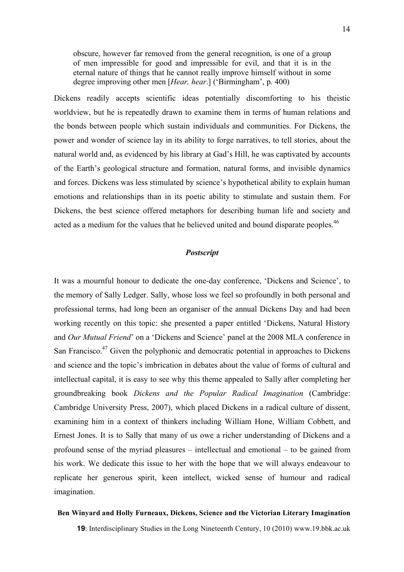obscure, however far removed from the general recognition, is one of a group of men impressible for good and impressible for evil, and that it is in the eternal nature of things that he cannot really improve himself without in some degree improving other men [*Hear, hear*.] ('Birmingham', p. 400)

Dickens readily accepts scientific ideas potentially discomforting to his theistic worldview, but he is repeatedly drawn to examine them in terms of human relations and the bonds between people which sustain individuals and communities. For Dickens, the power and wonder of science lay in its ability to forge narratives, to tell stories, about the natural world and, as evidenced by his library at Gad's Hill, he was captivated by accounts of the Earth's geological structure and formation, natural forms, and invisible dynamics and forces. Dickens was less stimulated by science's hypothetical ability to explain human emotions and relationships than in its poetic ability to stimulate and sustain them. For Dickens, the best science offered metaphors for describing human life and society and acted as a medium for the values that he believed united and bound disparate peoples.<sup>46</sup>

### *Postscript*

It was a mournful honour to dedicate the one-day conference, 'Dickens and Science', to the memory of Sally Ledger. Sally, whose loss we feel so profoundly in both personal and professional terms, had long been an organiser of the annual Dickens Day and had been working recently on this topic: she presented a paper entitled 'Dickens, Natural History and *Our Mutual Friend*' on a 'Dickens and Science' panel at the 2008 MLA conference in San Francisco.<sup>47</sup> Given the polyphonic and democratic potential in approaches to Dickens and science and the topic's imbrication in debates about the value of forms of cultural and intellectual capital, it is easy to see why this theme appealed to Sally after completing her groundbreaking book *Dickens and the Popular Radical Imagination* (Cambridge: Cambridge University Press, 2007), which placed Dickens in a radical culture of dissent, examining him in a context of thinkers including William Hone, William Cobbett, and Ernest Jones. It is to Sally that many of us owe a richer understanding of Dickens and a profound sense of the myriad pleasures – intellectual and emotional – to be gained from his work. We dedicate this issue to her with the hope that we will always endeavour to replicate her generous spirit, keen intellect, wicked sense of humour and radical imagination.

#### **Ben Winyard and Holly Furneaux, Dickens, Science and the Victorian Literary Imagination**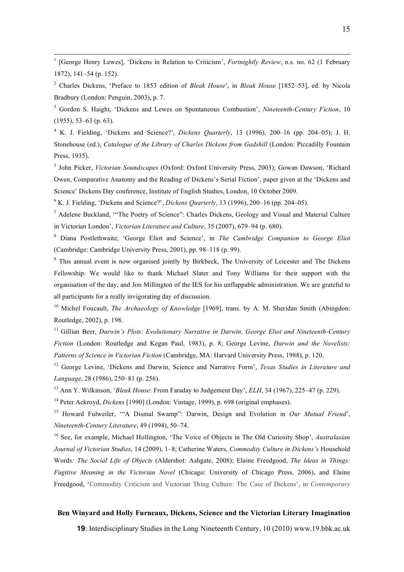<sup>1</sup> [George Henry Lewes], 'Dickens in Relation to Criticism', *Fortnightly Review*, n.s. no. 62 (1 February 1872), 141–54 (p. 152).

<sup>2</sup> Charles Dickens, 'Preface to 1853 edition of *Bleak House*', in *Bleak House* [1852–53], ed. by Nicola Bradbury (London: Penguin, 2003), p. 7.

<sup>3</sup> Gordon S. Haight, 'Dickens and Lewes on Spontaneous Combustion', *Nineteenth-Century Fiction*, 10 (1955), 53–63 (p. 63).

<sup>4</sup> K. J. Fielding, 'Dickens and Science?', *Dickens Quarterly*, 13 (1996), 200–16 (pp. 204–05); J. H. Stonehouse (ed.), *Catalogue of the Library of Charles Dickens from Gadshill* (London: Piccadilly Fountain Press, 1935).

<sup>5</sup> John Picker, *Victorian Soundscapes* (Oxford: Oxford University Press, 2003); Gowan Dawson, 'Richard Owen, Comparative Anatomy and the Reading of Dickens's Serial Fiction', paper given at the 'Dickens and Science' Dickens Day conference, Institute of English Studies, London, 10 October 2009.

<sup>6</sup> K. J. Fielding, 'Dickens and Science?', *Dickens Quarterly*, 13 (1996), 200–16 (pp. 204–05).

<sup>7</sup> Adelene Buckland, '"The Poetry of Science": Charles Dickens, Geology and Visual and Material Culture in Victorian London', *Victorian Literature and Culture*, 35 (2007), 679–94 (p. 680).

<sup>8</sup> Diana Postlethwaite, 'George Eliot and Science', in *The Cambridge Companion to George Eliot* (Cambridge: Cambridge University Press, 2001), pp. 98–118 (p. 99).

<sup>9</sup> This annual event is now organised jointly by Birkbeck, The University of Leicester and The Dickens Fellowship. We would like to thank Michael Slater and Tony Williams for their support with the organisation of the day, and Jon Millington of the IES for his unflappable administration. We are grateful to all participants for a really invigorating day of discussion.

<sup>10</sup> Michel Foucault, *The Archaeology of Knowledge* [1969], trans. by A. M. Sheridan Smith (Abingdon: Routledge, 2002), p. 198.

<sup>11</sup> Gillian Beer, *Darwin's Plots: Evolutionary Narrative in Darwin, George Eliot and Nineteenth-Century Fiction* (London: Routledge and Kegan Paul, 1983), p. 8; George Levine, *Darwin and the Novelists: Patterns of Science in Victorian Fiction* (Cambridge, MA: Harvard University Press, 1988), p. 120.

<sup>12</sup> George Levine, 'Dickens and Darwin, Science and Narrative Form', *Texas Studies in Literature and Language*, 28 (1986), 250–81 (p. 256).

<sup>13</sup> Ann Y. Wilkinson, '*Bleak House*: From Faraday to Judgement Day', *ELH*, 34 (1967), 225–47 (p. 229).

<sup>14</sup> Peter Ackroyd, *Dickens* [1990] (London: Vintage, 1999), p. 698 (original emphases).

<sup>15</sup> Howard Fulweiler, '"A Dismal Swamp": Darwin, Design and Evolution in *Our Mutual Friend*', *Nineteenth-Century Literature*, 49 (1994), 50–74.

<sup>16</sup> See, for example, Michael Hollington, 'The Voice of Objects in The Old Curiosity Shop', *Australasian Journal of Victorian Studies*, 14 (2009), 1–8; Catherine Waters, *Commodity Culture in Dickens's* Household Words*: The Social Life of Objects* (Aldershot: Ashgate, 2008); Elaine Freedgood, *The Ideas in Things: Fugitive Meaning in the Victorian Novel* (Chicago: University of Chicago Press, 2006), and Elaine Freedgood, 'Commodity Criticism and Victorian Thing Culture: The Case of Dickens', in *Contemporary*

#### **Ben Winyard and Holly Furneaux, Dickens, Science and the Victorian Literary Imagination**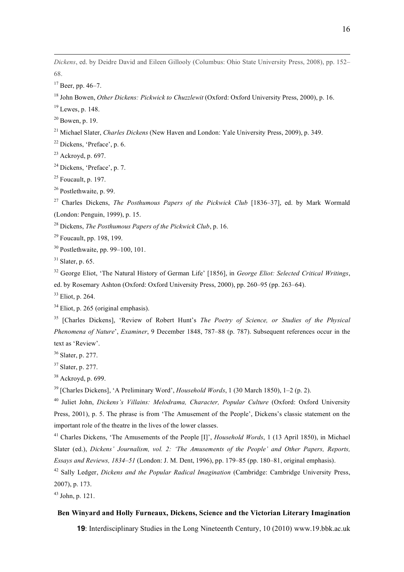*Dickens*, ed. by Deidre David and Eileen Gillooly (Columbus: Ohio State University Press, 2008), pp. 152– 68.

Beer, pp. 46–7.

John Bowen, *Other Dickens: Pickwick to Chuzzlewit* (Oxford: Oxford University Press, 2000), p. 16.

Lewes, p. 148.

Bowen, p. 19.

Michael Slater, *Charles Dickens* (New Haven and London: Yale University Press, 2009), p. 349.

Dickens, 'Preface', p. 6.

Ackroyd, p. 697.

<sup>24</sup> Dickens, 'Preface', p. 7.

Foucault, p. 197.

Postlethwaite, p. 99.

 Charles Dickens, *The Posthumous Papers of the Pickwick Club* [1836–37], ed. by Mark Wormald (London: Penguin, 1999), p. 15.

Dickens, *The Posthumous Papers of the Pickwick Club*, p. 16.

Foucault, pp. 198, 199.

Postlethwaite, pp. 99–100, 101.

Slater, p. 65.

 George Eliot, 'The Natural History of German Life' [1856], in *George Eliot: Selected Critical Writings*, ed. by Rosemary Ashton (Oxford: Oxford University Press, 2000), pp. 260–95 (pp. 263–64).

Eliot, p. 264.

Eliot, p. 265 (original emphasis).

 [Charles Dickens], 'Review of Robert Hunt's *The Poetry of Science, or Studies of the Physical Phenomena of Nature*', *Examiner*, 9 December 1848, 787–88 (p. 787). Subsequent references occur in the text as 'Review'.

Slater, p. 277.

Slater, p. 277.

Ackroyd, p. 699.

[Charles Dickens], 'A Preliminary Word', *Household Words*, 1 (30 March 1850), 1–2 (p. 2).

 Juliet John, *Dickens's Villains: Melodrama, Character, Popular Culture* (Oxford: Oxford University Press, 2001), p. 5. The phrase is from 'The Amusement of the People', Dickens's classic statement on the important role of the theatre in the lives of the lower classes.

 Charles Dickens, 'The Amusements of the People [I]', *Household Words*, 1 (13 April 1850), in Michael Slater (ed.), *Dickens' Journalism, vol. 2: 'The Amusements of the People' and Other Papers, Reports, Essays and Reviews, 1834–51* (London: J. M. Dent, 1996), pp. 179–85 (pp. 180–81, original emphasis).

 Sally Ledger, *Dickens and the Popular Radical Imagination* (Cambridge: Cambridge University Press, 2007), p. 173.

John, p. 121.

### **Ben Winyard and Holly Furneaux, Dickens, Science and the Victorian Literary Imagination**